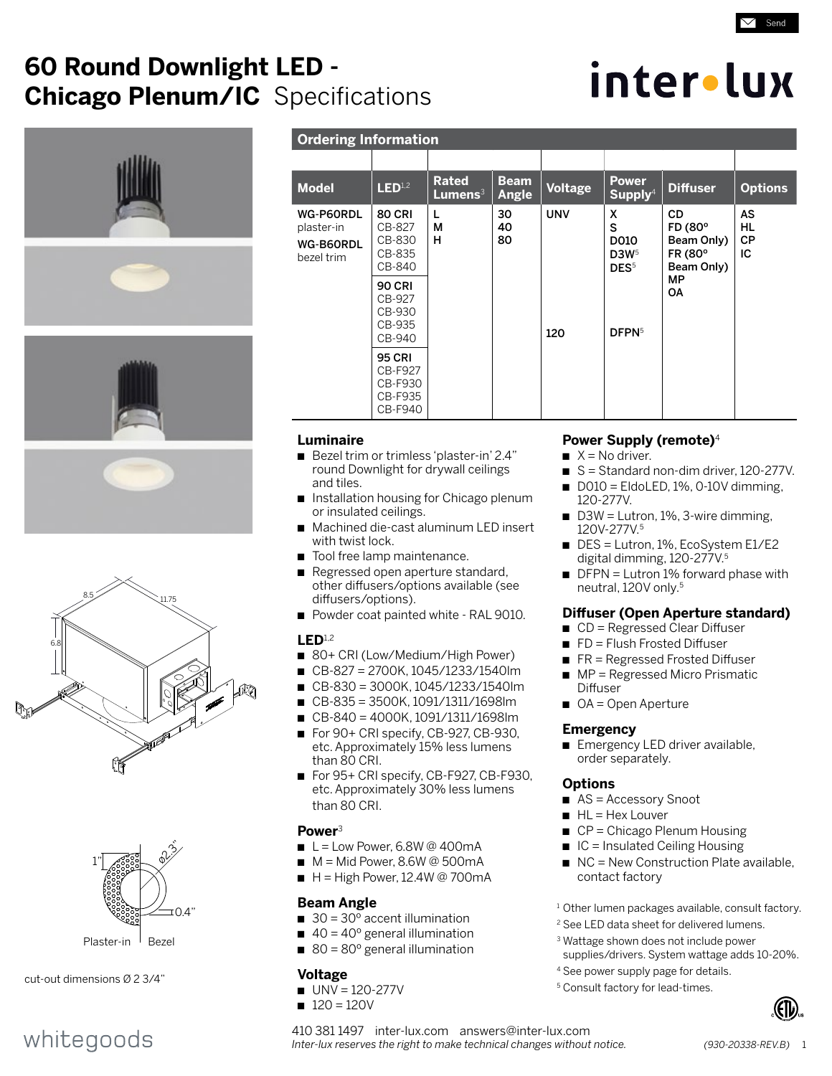# **60 Round Downlight LED - Chicago Plenum/IC** Specifications

# inter•lux

Send







cut-out dimensions Ø 2 3/4"

# whitegoods

| <b>Ordering Information</b>                        |                                                           |                            |                             |                |                                                        |                                                             |                             |
|----------------------------------------------------|-----------------------------------------------------------|----------------------------|-----------------------------|----------------|--------------------------------------------------------|-------------------------------------------------------------|-----------------------------|
|                                                    |                                                           |                            |                             |                |                                                        |                                                             |                             |
| <b>Model</b>                                       | LED <sup>1,2</sup>                                        | <b>Rated</b><br>Lumens $3$ | <b>Beam</b><br><b>Angle</b> | <b>Voltage</b> | <b>Power</b><br>Supply <sup>4</sup>                    | <b>Diffuser</b>                                             | <b>Options</b>              |
| WG-P60RDL<br>plaster-in<br>WG-B60RDL<br>bezel trim | <b>80 CRI</b><br>CB-827<br>CB-830<br>CB-835<br>CB-840     | L<br>М<br>н                | 30<br>40<br>80              | <b>UNV</b>     | x<br>S<br>D010<br>D3W <sub>5</sub><br>DES <sup>5</sup> | <b>CD</b><br>FD (80°<br>Beam Only)<br>FR (80°<br>Beam Only) | AS<br>HL<br><b>CP</b><br>ТC |
|                                                    | <b>90 CRI</b><br>CB-927<br>CB-930<br>CB-935<br>CB-940     |                            |                             | 120            | DFPN <sup>5</sup>                                      | МP<br><b>OA</b>                                             |                             |
|                                                    | <b>95 CRI</b><br>CB-F927<br>CB-F930<br>CB-F935<br>CB-F940 |                            |                             |                |                                                        |                                                             |                             |

# **Luminaire**

- Bezel trim or trimless 'plaster-in' 2.4" round Downlight for drywall ceilings and tiles.
- Installation housing for Chicago plenum or insulated ceilings.
- n Machined die-cast aluminum LED insert with twist lock.
- Tool free lamp maintenance.
- Regressed open aperture standard, other diffusers/options available (see diffusers/options).
- Powder coat painted white RAL 9010.

### **LED**1,2

- 80+ CRI (Low/Medium/High Power)
- n CB-827 = 2700K, 1045/1233/1540lm
- n CB-830 = 3000K, 1045/1233/1540lm
- n CB-835 = 3500K, 1091/1311/1698lm
- n CB-840 = 4000K, 1091/1311/1698lm
- For 90+ CRI specify, CB-927, CB-930, etc. Approximately 15% less lumens than 80 CRI.
- For 95+ CRI specify, CB-F927, CB-F930, etc. Approximately 30% less lumens than 80 CRI.

# **Power**<sup>3</sup>

- $L =$  Low Power, 6.8W @ 400mA
- $M = Mid Power. 8.6W @ 500mA$
- $H = High Power, 12.4W @ 700mA$

# **Beam Angle**

- $\Box$  30 = 30 $^{\circ}$  accent illumination
- $\blacksquare$  40 = 40 $\degree$  general illumination
- 80 =  $80^{\circ}$  general illumination

# **Voltage**

- $UV = 120 277V$
- $120 = 120V$

# **Power Supply (remote)**<sup>4</sup>

- $X = No$  driver.
- $\blacksquare$  S = Standard non-dim driver, 120-277V.
- n D010 = EldoLED, 1%, 0-10V dimming, 120-277V.
- $\blacksquare$  D3W = Lutron, 1%, 3-wire dimming, 120V-277V.5
- DES = Lutron, 1%, EcoSystem E1/E2 digital dimming, 120-277V.5
- $\blacksquare$  DFPN = Lutron 1% forward phase with neutral, 120V only.5

# **Diffuser (Open Aperture standard)**

- $\Box$  CD = Regressed Clear Diffuser
- $\blacksquare$  FD = Flush Frosted Diffuser
- $R =$  Regressed Frosted Diffuser
- $\blacksquare$  MP = Regressed Micro Prismatic Diffuser
- $\Box$  OA = Open Aperture

# **Emergency**

**n** Emergency LED driver available, order separately.

# **Options**

- $\blacksquare$  AS = Accessory Snoot
- $H = Hex$  Louver
- $\blacksquare$  CP = Chicago Plenum Housing
- $\blacksquare$  IC = Insulated Ceiling Housing
- $\blacksquare$  NC = New Construction Plate available, contact factory
- <sup>1</sup> Other lumen packages available, consult factory.
- <sup>2</sup> See LED data sheet for delivered lumens.
- 3 Wattage shown does not include power supplies/drivers. System wattage adds 10-20%.
- 4 See power supply page for details.
- <sup>5</sup> Consult factory for lead-times.



410 381 1497 inter-lux.com answers@inter-lux.com *Inter-lux reserves the right to make technical changes without notice. (930-20338-REV.B)* 1

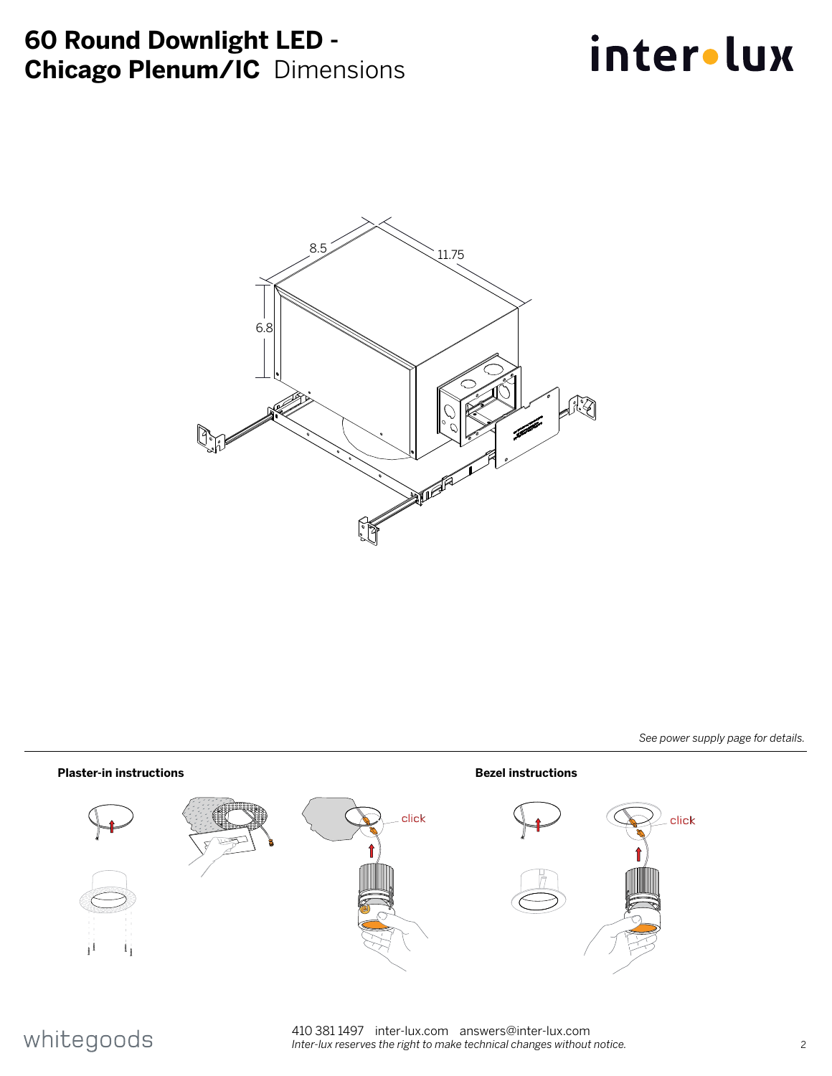# **60 Round Downlight LED - Chicago Plenum/IC** Dimensions

# inter.lux



*See power supply page for details.*



# whitegoods